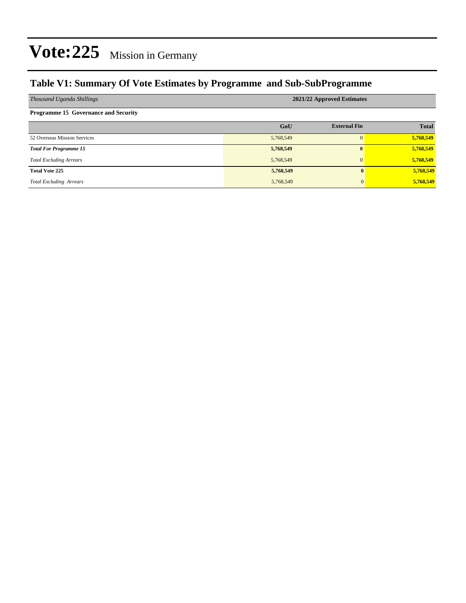### **Table V1: Summary Of Vote Estimates by Programme and Sub-SubProgramme**

| Thousand Uganda Shillings                   | 2021/22 Approved Estimates |                     |              |  |  |  |  |
|---------------------------------------------|----------------------------|---------------------|--------------|--|--|--|--|
| <b>Programme 15 Governance and Security</b> |                            |                     |              |  |  |  |  |
|                                             | GoU                        | <b>External Fin</b> | <b>Total</b> |  |  |  |  |
| 52 Overseas Mission Services                | 5,768,549                  | $\Omega$            | 5,768,549    |  |  |  |  |
| <b>Total For Programme 15</b>               | 5,768,549                  | $\mathbf{0}$        | 5,768,549    |  |  |  |  |
| <b>Total Excluding Arrears</b>              | 5,768,549                  | $\mathbf{0}$        | 5,768,549    |  |  |  |  |
| <b>Total Vote 225</b>                       | 5,768,549                  | 0                   | 5,768,549    |  |  |  |  |
| <b>Total Excluding Arrears</b>              | 5,768,549                  | $\Omega$            | 5,768,549    |  |  |  |  |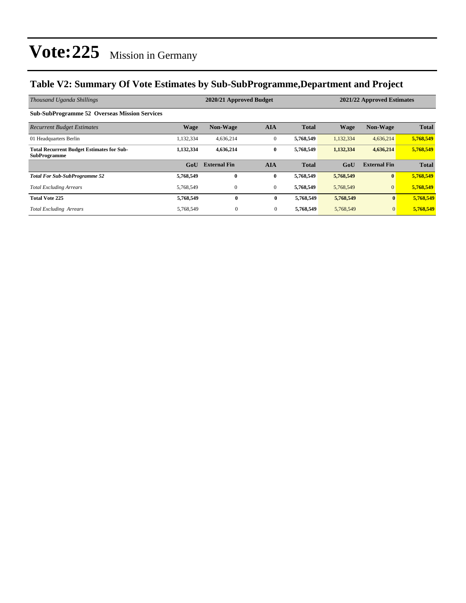### **Table V2: Summary Of Vote Estimates by Sub-SubProgramme,Department and Project**

| Thousand Uganda Shillings                                               | 2020/21 Approved Budget<br>2021/22 Approved Estimates |                     |                |              |             |                     |              |  |
|-------------------------------------------------------------------------|-------------------------------------------------------|---------------------|----------------|--------------|-------------|---------------------|--------------|--|
| <b>Sub-SubProgramme 52 Overseas Mission Services</b>                    |                                                       |                     |                |              |             |                     |              |  |
| <b>Recurrent Budget Estimates</b>                                       | <b>Wage</b>                                           | <b>Non-Wage</b>     | <b>AIA</b>     | <b>Total</b> | <b>Wage</b> | <b>Non-Wage</b>     | <b>Total</b> |  |
| 01 Headquarters Berlin                                                  | 1,132,334                                             | 4,636,214           | $\mathbf{0}$   | 5,768,549    | 1,132,334   | 4,636,214           | 5,768,549    |  |
| <b>Total Recurrent Budget Estimates for Sub-</b><br><b>SubProgramme</b> | 1,132,334                                             | 4,636,214           | $\bf{0}$       | 5,768,549    | 1,132,334   | 4,636,214           | 5,768,549    |  |
|                                                                         | G <sub>0</sub> U                                      | <b>External Fin</b> | <b>AIA</b>     | <b>Total</b> | GoU         | <b>External Fin</b> | <b>Total</b> |  |
| <b>Total For Sub-SubProgramme 52</b>                                    | 5,768,549                                             | $\bf{0}$            | $\bf{0}$       | 5,768,549    | 5,768,549   | $\bf{0}$            | 5,768,549    |  |
| <b>Total Excluding Arrears</b>                                          | 5,768,549                                             | $\mathbf{0}$        | $\mathbf{0}$   | 5,768,549    | 5,768,549   | $\mathbf{0}$        | 5,768,549    |  |
| <b>Total Vote 225</b>                                                   | 5,768,549                                             | $\bf{0}$            | $\bf{0}$       | 5,768,549    | 5,768,549   | $\mathbf{0}$        | 5,768,549    |  |
| <b>Total Excluding Arrears</b>                                          | 5,768,549                                             | $\mathbf{0}$        | $\overline{0}$ | 5,768,549    | 5,768,549   | $\mathbf{0}$        | 5,768,549    |  |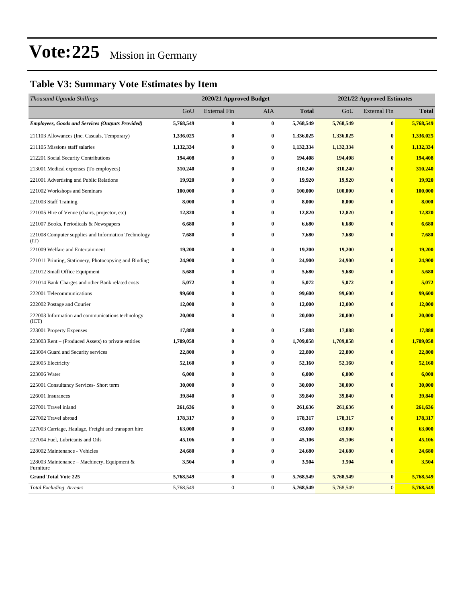### **Table V3: Summary Vote Estimates by Item**

| Thousand Uganda Shillings                                   |           | 2020/21 Approved Budget |                  |              |           | 2021/22 Approved Estimates |              |  |
|-------------------------------------------------------------|-----------|-------------------------|------------------|--------------|-----------|----------------------------|--------------|--|
|                                                             | GoU       | <b>External Fin</b>     | <b>AIA</b>       | <b>Total</b> | GoU       | <b>External Fin</b>        | <b>Total</b> |  |
| <b>Employees, Goods and Services (Outputs Provided)</b>     | 5,768,549 | $\bf{0}$                | $\bf{0}$         | 5,768,549    | 5,768,549 | $\boldsymbol{0}$           | 5,768,549    |  |
| 211103 Allowances (Inc. Casuals, Temporary)                 | 1,336,025 | $\bf{0}$                | $\bf{0}$         | 1,336,025    | 1,336,025 | $\bf{0}$                   | 1,336,025    |  |
| 211105 Missions staff salaries                              | 1,132,334 | $\bf{0}$                | $\bf{0}$         | 1,132,334    | 1,132,334 | $\bf{0}$                   | 1,132,334    |  |
| 212201 Social Security Contributions                        | 194,408   | $\bf{0}$                | $\bf{0}$         | 194,408      | 194,408   | $\bf{0}$                   | 194,408      |  |
| 213001 Medical expenses (To employees)                      | 310,240   | 0                       | $\bf{0}$         | 310,240      | 310,240   | $\bf{0}$                   | 310,240      |  |
| 221001 Advertising and Public Relations                     | 19,920    | $\bf{0}$                | $\bf{0}$         | 19,920       | 19,920    | $\bf{0}$                   | 19,920       |  |
| 221002 Workshops and Seminars                               | 100,000   | $\bf{0}$                | $\bf{0}$         | 100,000      | 100,000   | $\bf{0}$                   | 100,000      |  |
| 221003 Staff Training                                       | 8,000     | $\bf{0}$                | $\bf{0}$         | 8,000        | 8,000     | $\bf{0}$                   | 8,000        |  |
| 221005 Hire of Venue (chairs, projector, etc)               | 12,820    | $\bf{0}$                | $\bf{0}$         | 12,820       | 12,820    | $\bf{0}$                   | 12,820       |  |
| 221007 Books, Periodicals & Newspapers                      | 6,680     | $\bf{0}$                | $\bf{0}$         | 6,680        | 6,680     | $\bf{0}$                   | 6,680        |  |
| 221008 Computer supplies and Information Technology<br>(TT) | 7,680     | $\bf{0}$                | $\bf{0}$         | 7,680        | 7,680     | $\bf{0}$                   | 7,680        |  |
| 221009 Welfare and Entertainment                            | 19,200    | $\bf{0}$                | $\bf{0}$         | 19,200       | 19,200    | $\bf{0}$                   | 19,200       |  |
| 221011 Printing, Stationery, Photocopying and Binding       | 24,900    | $\bf{0}$                | $\bf{0}$         | 24,900       | 24,900    | $\bf{0}$                   | 24,900       |  |
| 221012 Small Office Equipment                               | 5,680     | $\bf{0}$                | $\bf{0}$         | 5,680        | 5,680     | $\bf{0}$                   | 5,680        |  |
| 221014 Bank Charges and other Bank related costs            | 5,072     | $\bf{0}$                | $\bf{0}$         | 5,072        | 5,072     | $\bf{0}$                   | 5,072        |  |
| 222001 Telecommunications                                   | 99,600    | 0                       | $\bf{0}$         | 99,600       | 99,600    | $\bf{0}$                   | 99,600       |  |
| 222002 Postage and Courier                                  | 12,000    | $\bf{0}$                | $\bf{0}$         | 12,000       | 12,000    | $\bf{0}$                   | 12,000       |  |
| 222003 Information and communications technology<br>(ICT)   | 20,000    | $\bf{0}$                | $\bf{0}$         | 20,000       | 20,000    | $\bf{0}$                   | 20,000       |  |
| 223001 Property Expenses                                    | 17,888    | 0                       | $\bf{0}$         | 17,888       | 17,888    | $\bf{0}$                   | 17,888       |  |
| 223003 Rent – (Produced Assets) to private entities         | 1,709,058 | $\bf{0}$                | $\bf{0}$         | 1,709,058    | 1,709,058 | $\bf{0}$                   | 1,709,058    |  |
| 223004 Guard and Security services                          | 22,800    | $\bf{0}$                | $\bf{0}$         | 22,800       | 22,800    | $\bf{0}$                   | 22,800       |  |
| 223005 Electricity                                          | 52,160    | 0                       | $\bf{0}$         | 52,160       | 52,160    | $\bf{0}$                   | 52,160       |  |
| 223006 Water                                                | 6,000     | $\bf{0}$                | $\bf{0}$         | 6,000        | 6,000     | $\bf{0}$                   | 6,000        |  |
| 225001 Consultancy Services- Short term                     | 30,000    | 0                       | $\bf{0}$         | 30,000       | 30,000    | $\bf{0}$                   | 30,000       |  |
| 226001 Insurances                                           | 39,840    | 0                       | $\bf{0}$         | 39,840       | 39,840    | $\bf{0}$                   | 39,840       |  |
| 227001 Travel inland                                        | 261,636   | $\bf{0}$                | $\bf{0}$         | 261,636      | 261,636   | $\bf{0}$                   | 261,636      |  |
| 227002 Travel abroad                                        | 178,317   | 0                       | $\bf{0}$         | 178,317      | 178,317   | $\bf{0}$                   | 178,317      |  |
| 227003 Carriage, Haulage, Freight and transport hire        | 63,000    | $\bf{0}$                | $\bf{0}$         | 63,000       | 63,000    | $\bf{0}$                   | 63,000       |  |
| 227004 Fuel, Lubricants and Oils                            | 45,106    | $\bf{0}$                | $\bf{0}$         | 45,106       | 45,106    | $\boldsymbol{0}$           | 45,106       |  |
| 228002 Maintenance - Vehicles                               | 24,680    | 0                       | $\bf{0}$         | 24,680       | 24,680    | $\boldsymbol{0}$           | 24,680       |  |
| 228003 Maintenance – Machinery, Equipment $\&$<br>Furniture | 3,504     | $\bf{0}$                | $\bf{0}$         | 3,504        | 3,504     | $\boldsymbol{0}$           | 3,504        |  |
| <b>Grand Total Vote 225</b>                                 | 5,768,549 | $\boldsymbol{0}$        | $\bf{0}$         | 5,768,549    | 5,768,549 | $\bf{0}$                   | 5,768,549    |  |
| <b>Total Excluding Arrears</b>                              | 5,768,549 | $\boldsymbol{0}$        | $\boldsymbol{0}$ | 5,768,549    | 5,768,549 | $\mathbf{0}$               | 5,768,549    |  |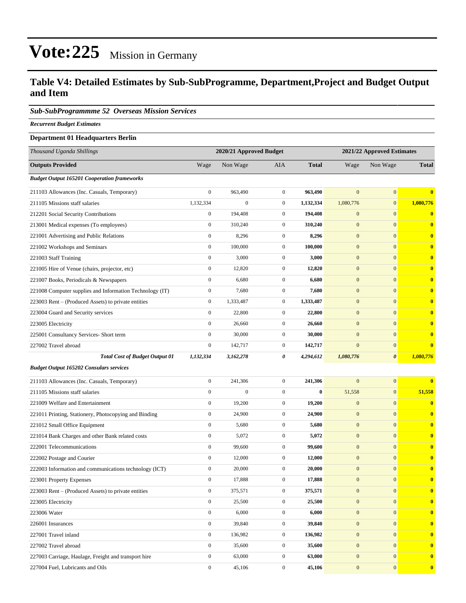### **Table V4: Detailed Estimates by Sub-SubProgramme, Department,Project and Budget Output and Item**

### *Sub-SubProgrammme 52 Overseas Mission Services*

*Recurrent Budget Estimates*

### **Department 01 Headquarters Berlin**

| Thousand Uganda Shillings                                |                  | 2020/21 Approved Budget<br>2021/22 Approved Estimates |                  |              |                  |                       |              |
|----------------------------------------------------------|------------------|-------------------------------------------------------|------------------|--------------|------------------|-----------------------|--------------|
| <b>Outputs Provided</b>                                  | Wage             | Non Wage                                              | AIA              | <b>Total</b> | Wage             | Non Wage              | <b>Total</b> |
| <b>Budget Output 165201 Cooperation frameworks</b>       |                  |                                                       |                  |              |                  |                       |              |
| 211103 Allowances (Inc. Casuals, Temporary)              | $\boldsymbol{0}$ | 963,490                                               | $\mathbf{0}$     | 963,490      | $\overline{0}$   | $\boldsymbol{0}$      | $\bf{0}$     |
| 211105 Missions staff salaries                           | 1,132,334        | $\boldsymbol{0}$                                      | $\mathbf{0}$     | 1,132,334    | 1,080,776        | $\mathbf{0}$          | 1,080,776    |
| 212201 Social Security Contributions                     | $\boldsymbol{0}$ | 194,408                                               | $\mathbf{0}$     | 194,408      | $\mathbf{0}$     | $\mathbf{0}$          | $\bf{0}$     |
| 213001 Medical expenses (To employees)                   | $\mathbf{0}$     | 310,240                                               | $\mathbf{0}$     | 310.240      | $\mathbf{0}$     | $\mathbf{0}$          | $\bf{0}$     |
| 221001 Advertising and Public Relations                  | $\boldsymbol{0}$ | 8,296                                                 | $\mathbf{0}$     | 8,296        | $\boldsymbol{0}$ | $\mathbf{0}$          | $\bf{0}$     |
| 221002 Workshops and Seminars                            | $\boldsymbol{0}$ | 100,000                                               | $\mathbf{0}$     | 100,000      | $\mathbf{0}$     | $\mathbf{0}$          | $\bf{0}$     |
| 221003 Staff Training                                    | $\boldsymbol{0}$ | 3,000                                                 | $\mathbf{0}$     | 3,000        | $\mathbf{0}$     | $\mathbf{0}$          | $\bf{0}$     |
| 221005 Hire of Venue (chairs, projector, etc)            | $\boldsymbol{0}$ | 12,820                                                | $\mathbf{0}$     | 12,820       | $\mathbf{0}$     | $\mathbf{0}$          | $\bf{0}$     |
| 221007 Books, Periodicals & Newspapers                   | $\boldsymbol{0}$ | 6,680                                                 | $\mathbf{0}$     | 6,680        | $\mathbf{0}$     | $\mathbf{0}$          | $\bf{0}$     |
| 221008 Computer supplies and Information Technology (IT) | $\boldsymbol{0}$ | 7,680                                                 | $\mathbf{0}$     | 7,680        | $\boldsymbol{0}$ | $\mathbf{0}$          | $\bf{0}$     |
| 223003 Rent – (Produced Assets) to private entities      | $\boldsymbol{0}$ | 1,333,487                                             | $\mathbf{0}$     | 1,333,487    | $\mathbf{0}$     | $\mathbf{0}$          | $\bf{0}$     |
| 223004 Guard and Security services                       | $\boldsymbol{0}$ | 22,800                                                | $\mathbf{0}$     | 22,800       | $\mathbf{0}$     | $\mathbf{0}$          | $\bf{0}$     |
| 223005 Electricity                                       | $\overline{0}$   | 26,660                                                | $\mathbf{0}$     | 26,660       | $\boldsymbol{0}$ | $\mathbf{0}$          | $\bf{0}$     |
| 225001 Consultancy Services- Short term                  | $\boldsymbol{0}$ | 30,000                                                | $\mathbf{0}$     | 30,000       | $\mathbf{0}$     | $\mathbf{0}$          | $\bf{0}$     |
| 227002 Travel abroad                                     | $\boldsymbol{0}$ | 142,717                                               | $\boldsymbol{0}$ | 142,717      | $\boldsymbol{0}$ | $\mathbf{0}$          | $\bf{0}$     |
| <b>Total Cost of Budget Output 01</b>                    | 1,132,334        | 3,162,278                                             | 0                | 4,294,612    | 1,080,776        | $\boldsymbol{\theta}$ | 1,080,776    |
| <b>Budget Output 165202 Consulars services</b>           |                  |                                                       |                  |              |                  |                       |              |
| 211103 Allowances (Inc. Casuals, Temporary)              | $\boldsymbol{0}$ | 241,306                                               | $\mathbf{0}$     | 241,306      | $\overline{0}$   | $\boldsymbol{0}$      | $\bf{0}$     |
| 211105 Missions staff salaries                           | $\boldsymbol{0}$ | $\boldsymbol{0}$                                      | $\mathbf{0}$     | $\bf{0}$     | 51,558           | $\mathbf{0}$          | 51,558       |
| 221009 Welfare and Entertainment                         | $\boldsymbol{0}$ | 19,200                                                | $\boldsymbol{0}$ | 19,200       | $\mathbf{0}$     | $\mathbf{0}$          | $\bf{0}$     |
| 221011 Printing, Stationery, Photocopying and Binding    | $\boldsymbol{0}$ | 24,900                                                | $\mathbf{0}$     | 24,900       | $\boldsymbol{0}$ | $\mathbf{0}$          | $\bf{0}$     |
| 221012 Small Office Equipment                            | $\boldsymbol{0}$ | 5,680                                                 | $\mathbf{0}$     | 5,680        | $\boldsymbol{0}$ | $\mathbf{0}$          | $\bf{0}$     |
| 221014 Bank Charges and other Bank related costs         | $\boldsymbol{0}$ | 5,072                                                 | $\mathbf{0}$     | 5,072        | $\boldsymbol{0}$ | $\mathbf{0}$          | $\bf{0}$     |
| 222001 Telecommunications                                | $\boldsymbol{0}$ | 99,600                                                | $\mathbf{0}$     | 99,600       | $\mathbf{0}$     | $\mathbf{0}$          | $\bf{0}$     |
| 222002 Postage and Courier                               | $\boldsymbol{0}$ | 12,000                                                | $\mathbf{0}$     | 12,000       | $\mathbf{0}$     | $\mathbf{0}$          | $\bf{0}$     |
| 222003 Information and communications technology (ICT)   | $\boldsymbol{0}$ | 20,000                                                | $\mathbf{0}$     | 20,000       | $\boldsymbol{0}$ | $\mathbf{0}$          | $\bf{0}$     |
| 223001 Property Expenses                                 | $\boldsymbol{0}$ | 17,888                                                | $\overline{0}$   | 17,888       | $\mathbf{0}$     | $\mathbf{0}$          | $\bf{0}$     |
| 223003 Rent - (Produced Assets) to private entities      | $\boldsymbol{0}$ | 375,571                                               | $\boldsymbol{0}$ | 375,571      | $\boldsymbol{0}$ | $\boldsymbol{0}$      | $\bf{0}$     |
| 223005 Electricity                                       | $\boldsymbol{0}$ | 25,500                                                | $\mathbf{0}$     | 25,500       | $\boldsymbol{0}$ | $\mathbf{0}$          | $\bf{0}$     |
| 223006 Water                                             | $\mathbf{0}$     | 6,000                                                 | $\boldsymbol{0}$ | 6,000        | $\mathbf{0}$     | $\mathbf{0}$          | $\bf{0}$     |
| 226001 Insurances                                        | $\boldsymbol{0}$ | 39,840                                                | $\boldsymbol{0}$ | 39,840       | $\boldsymbol{0}$ | $\bf{0}$              | $\bf{0}$     |
| 227001 Travel inland                                     | $\boldsymbol{0}$ | 136,982                                               | $\mathbf{0}$     | 136,982      | $\mathbf{0}$     | $\mathbf{0}$          | $\bf{0}$     |
| 227002 Travel abroad                                     | $\boldsymbol{0}$ | 35,600                                                | $\boldsymbol{0}$ | 35,600       | $\mathbf{0}$     | $\mathbf{0}$          | $\bf{0}$     |
| 227003 Carriage, Haulage, Freight and transport hire     | $\boldsymbol{0}$ | 63,000                                                | $\boldsymbol{0}$ | 63,000       | $\mathbf{0}$     | $\mathbf{0}$          | $\bf{0}$     |
| 227004 Fuel, Lubricants and Oils                         | $\boldsymbol{0}$ | 45,106                                                | $\boldsymbol{0}$ | 45,106       | $\mathbf{0}$     | $\mathbf{0}$          | $\bf{0}$     |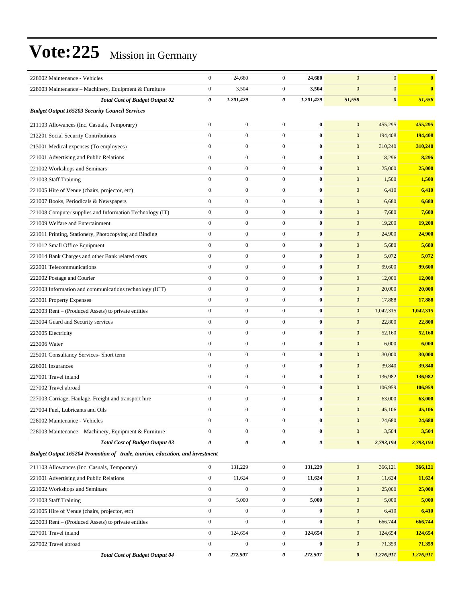| 228002 Maintenance - Vehicles                                               | $\boldsymbol{0}$ | 24,680           | $\boldsymbol{0}$ | 24,680           | $\mathbf{0}$          | $\mathbf{0}$<br>$\bf{0}$        |  |  |  |  |
|-----------------------------------------------------------------------------|------------------|------------------|------------------|------------------|-----------------------|---------------------------------|--|--|--|--|
| 228003 Maintenance – Machinery, Equipment & Furniture                       | $\boldsymbol{0}$ | 3,504            | $\boldsymbol{0}$ | 3,504            | $\mathbf{0}$          | $\mathbf{0}$<br>$\bf{0}$        |  |  |  |  |
| <b>Total Cost of Budget Output 02</b>                                       | 0                | 1,201,429        | 0                | 1,201,429        | 51,558                | $\boldsymbol{\theta}$<br>51,558 |  |  |  |  |
| <b>Budget Output 165203 Security Council Services</b>                       |                  |                  |                  |                  |                       |                                 |  |  |  |  |
| 211103 Allowances (Inc. Casuals, Temporary)                                 | $\overline{0}$   | $\boldsymbol{0}$ | $\boldsymbol{0}$ | $\bf{0}$         | $\mathbf{0}$          | 455,295<br>455,295              |  |  |  |  |
| 212201 Social Security Contributions                                        | $\boldsymbol{0}$ | $\boldsymbol{0}$ | $\boldsymbol{0}$ | $\bf{0}$         | $\mathbf{0}$          | 194,408<br>194,408              |  |  |  |  |
| 213001 Medical expenses (To employees)                                      | $\boldsymbol{0}$ | $\boldsymbol{0}$ | $\boldsymbol{0}$ | $\bf{0}$         | $\mathbf{0}$          | 310,240<br>310,240              |  |  |  |  |
| 221001 Advertising and Public Relations                                     | $\boldsymbol{0}$ | $\boldsymbol{0}$ | $\boldsymbol{0}$ | $\bf{0}$         | $\mathbf{0}$          | 8,296<br>8,296                  |  |  |  |  |
| 221002 Workshops and Seminars                                               | $\boldsymbol{0}$ | $\boldsymbol{0}$ | $\boldsymbol{0}$ | $\bf{0}$         | $\mathbf{0}$          | 25,000<br>25,000                |  |  |  |  |
| 221003 Staff Training                                                       | $\overline{0}$   | $\boldsymbol{0}$ | $\boldsymbol{0}$ | $\bf{0}$         | $\mathbf{0}$          | 1,500<br>1,500                  |  |  |  |  |
| 221005 Hire of Venue (chairs, projector, etc)                               | $\mathbf{0}$     | $\boldsymbol{0}$ | $\boldsymbol{0}$ | $\bf{0}$         | $\mathbf{0}$          | 6,410<br>6,410                  |  |  |  |  |
| 221007 Books, Periodicals & Newspapers                                      | $\boldsymbol{0}$ | $\boldsymbol{0}$ | $\boldsymbol{0}$ | $\bf{0}$         | $\mathbf{0}$          | 6,680<br>6,680                  |  |  |  |  |
| 221008 Computer supplies and Information Technology (IT)                    | $\boldsymbol{0}$ | $\boldsymbol{0}$ | $\boldsymbol{0}$ | $\bf{0}$         | $\mathbf{0}$          | 7,680<br>7,680                  |  |  |  |  |
| 221009 Welfare and Entertainment                                            | $\overline{0}$   | $\boldsymbol{0}$ | $\boldsymbol{0}$ | $\bf{0}$         | $\mathbf{0}$          | 19,200<br>19,200                |  |  |  |  |
| 221011 Printing, Stationery, Photocopying and Binding                       | $\overline{0}$   | $\boldsymbol{0}$ | $\boldsymbol{0}$ | $\bf{0}$         | $\mathbf{0}$          | 24,900<br><b>24,900</b>         |  |  |  |  |
| 221012 Small Office Equipment                                               | $\mathbf{0}$     | $\boldsymbol{0}$ | $\boldsymbol{0}$ | $\bf{0}$         | $\mathbf{0}$          | 5,680<br>5,680                  |  |  |  |  |
| 221014 Bank Charges and other Bank related costs                            | $\overline{0}$   | $\boldsymbol{0}$ | $\boldsymbol{0}$ | $\bf{0}$         | $\mathbf{0}$          | 5,072<br>5,072                  |  |  |  |  |
| 222001 Telecommunications                                                   | $\mathbf{0}$     | $\boldsymbol{0}$ | $\boldsymbol{0}$ | $\bf{0}$         | $\mathbf{0}$          | 99,600<br>99,600                |  |  |  |  |
| 222002 Postage and Courier                                                  | $\overline{0}$   | $\boldsymbol{0}$ | $\boldsymbol{0}$ | $\bf{0}$         | $\mathbf{0}$          | 12,000<br>12,000                |  |  |  |  |
| 222003 Information and communications technology (ICT)                      | $\overline{0}$   | $\boldsymbol{0}$ | $\boldsymbol{0}$ | $\bf{0}$         | $\mathbf{0}$          | 20,000<br>20,000                |  |  |  |  |
| 223001 Property Expenses                                                    | $\mathbf{0}$     | $\boldsymbol{0}$ | $\boldsymbol{0}$ | $\bf{0}$         | $\mathbf{0}$          | 17,888<br>17,888                |  |  |  |  |
| 223003 Rent – (Produced Assets) to private entities                         | $\boldsymbol{0}$ | $\boldsymbol{0}$ | $\boldsymbol{0}$ | $\bf{0}$         | $\mathbf{0}$          | 1,042,315<br>1,042,315          |  |  |  |  |
| 223004 Guard and Security services                                          | $\mathbf{0}$     | $\boldsymbol{0}$ | $\boldsymbol{0}$ | $\bf{0}$         | $\mathbf{0}$          | 22,800<br>22,800                |  |  |  |  |
| 223005 Electricity                                                          | $\mathbf{0}$     | $\boldsymbol{0}$ | $\boldsymbol{0}$ | $\bf{0}$         | $\mathbf{0}$          | 52,160<br>52,160                |  |  |  |  |
| 223006 Water                                                                | $\overline{0}$   | $\boldsymbol{0}$ | $\boldsymbol{0}$ | $\bf{0}$         | $\mathbf{0}$          | 6,000<br>6,000                  |  |  |  |  |
| 225001 Consultancy Services- Short term                                     | $\mathbf{0}$     | $\boldsymbol{0}$ | $\boldsymbol{0}$ | $\bf{0}$         | $\mathbf{0}$          | 30,000<br>30,000                |  |  |  |  |
| 226001 Insurances                                                           | $\boldsymbol{0}$ | $\boldsymbol{0}$ | $\boldsymbol{0}$ | $\bf{0}$         | $\mathbf{0}$          | 39,840<br>39,840                |  |  |  |  |
| 227001 Travel inland                                                        | $\mathbf{0}$     | $\boldsymbol{0}$ | $\boldsymbol{0}$ | $\bf{0}$         | $\mathbf{0}$          | 136,982<br>136,982              |  |  |  |  |
| 227002 Travel abroad                                                        | $\boldsymbol{0}$ | $\boldsymbol{0}$ | $\boldsymbol{0}$ | $\bf{0}$         | $\mathbf{0}$          | 106,959<br>106,959              |  |  |  |  |
| 227003 Carriage, Haulage, Freight and transport hire                        | $\overline{0}$   | $\boldsymbol{0}$ | $\boldsymbol{0}$ | $\bf{0}$         | $\mathbf{0}$          | 63,000<br>63,000                |  |  |  |  |
| 227004 Fuel, Lubricants and Oils                                            | $\theta$         | $\overline{0}$   | $\Omega$         | $\mathbf{0}$     | $\mathbf{0}$          | 45,106<br>45,106                |  |  |  |  |
| 228002 Maintenance - Vehicles                                               | $\boldsymbol{0}$ | $\boldsymbol{0}$ | $\boldsymbol{0}$ | $\bf{0}$         | $\mathbf{0}$          | 24,680<br>24,680                |  |  |  |  |
| 228003 Maintenance - Machinery, Equipment & Furniture                       | $\boldsymbol{0}$ | $\boldsymbol{0}$ | $\overline{0}$   | $\boldsymbol{0}$ | $\mathbf{0}$          | 3,504<br>3,504                  |  |  |  |  |
| <b>Total Cost of Budget Output 03</b>                                       | 0                | 0                | 0                | 0                | $\boldsymbol{\theta}$ | 2,793,194<br>2,793,194          |  |  |  |  |
| Budget Output 165204 Promotion of trade, tourism, education, and investment |                  |                  |                  |                  |                       |                                 |  |  |  |  |
| 211103 Allowances (Inc. Casuals, Temporary)                                 | $\overline{0}$   | 131,229          | $\boldsymbol{0}$ | 131,229          | $\boldsymbol{0}$      | 366,121<br>366,121              |  |  |  |  |
| 221001 Advertising and Public Relations                                     | $\boldsymbol{0}$ | 11,624           | $\boldsymbol{0}$ | 11,624           | $\mathbf{0}$          | 11,624<br>11,624                |  |  |  |  |
| 221002 Workshops and Seminars                                               | $\mathbf{0}$     | $\boldsymbol{0}$ | $\boldsymbol{0}$ | $\bf{0}$         | $\mathbf{0}$          | 25,000<br>25,000                |  |  |  |  |
| 221003 Staff Training                                                       | $\boldsymbol{0}$ | 5,000            | $\boldsymbol{0}$ | 5,000            | $\mathbf{0}$          | 5,000<br>5,000                  |  |  |  |  |
| 221005 Hire of Venue (chairs, projector, etc)                               | $\boldsymbol{0}$ | $\boldsymbol{0}$ | $\boldsymbol{0}$ | $\bf{0}$         | $\mathbf{0}$          | 6,410<br>6,410                  |  |  |  |  |
| 223003 Rent – (Produced Assets) to private entities                         | $\mathbf{0}$     | $\overline{0}$   | $\boldsymbol{0}$ | $\bf{0}$         | $\boldsymbol{0}$      | 666,744<br>666,744              |  |  |  |  |
| 227001 Travel inland                                                        | $\mathbf{0}$     | 124,654          | $\boldsymbol{0}$ | 124,654          | $\mathbf{0}$          | 124,654<br>124,654              |  |  |  |  |
| 227002 Travel abroad                                                        | $\boldsymbol{0}$ | $\boldsymbol{0}$ | $\boldsymbol{0}$ | $\bf{0}$         | $\mathbf{0}$          | 71,359<br>71,359                |  |  |  |  |
| <b>Total Cost of Budget Output 04</b>                                       | 0                | 272,507          | 0                | 272,507          | $\pmb{\theta}$        | 1,276,911<br>1,276,911          |  |  |  |  |